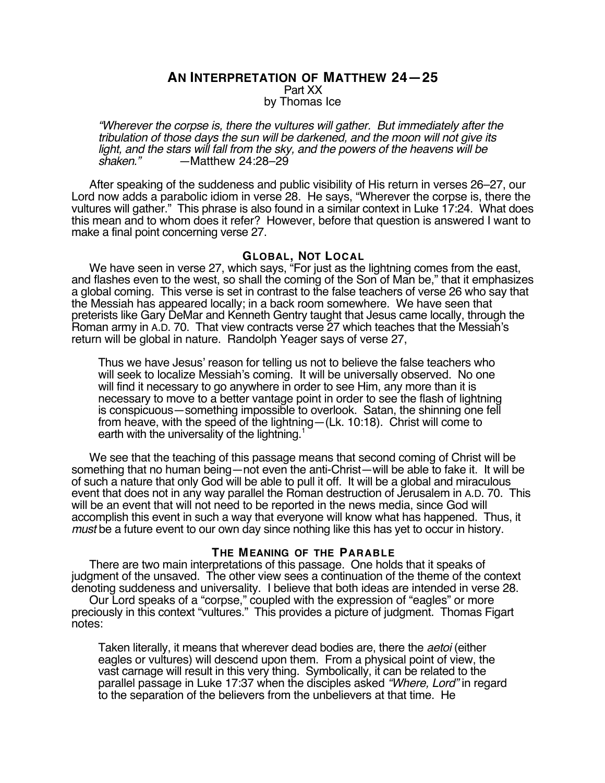**AN INTERPRETATION OF MATTHEW 24—25** Part XX by Thomas Ice

"Wherever the corpse is, there the vultures will gather. But immediately after the tribulation of those days the sun will be darkened, and the moon will not give its light, and the stars will fall from the sky, and the powers of the heavens will be shaken." — Matthew 24:28–29 shaken." —Matthew 24:28–29

After speaking of the suddeness and public visibility of His return in verses 26–27, our Lord now adds a parabolic idiom in verse 28. He says, "Wherever the corpse is, there the vultures will gather." This phrase is also found in a similar context in Luke 17:24. What does this mean and to whom does it refer? However, before that question is answered I want to make a final point concerning verse 27.

### **GLOBAL, NOT LOCAL**

We have seen in verse 27, which says, "For just as the lightning comes from the east, and flashes even to the west, so shall the coming of the Son of Man be," that it emphasizes a global coming. This verse is set in contrast to the false teachers of verse 26 who say that the Messiah has appeared locally; in a back room somewhere. We have seen that preterists like Gary DeMar and Kenneth Gentry taught that Jesus came locally, through the Roman army in A.D. 70. That view contracts verse 27 which teaches that the Messiah's return will be global in nature. Randolph Yeager says of verse 27,

Thus we have Jesus' reason for telling us not to believe the false teachers who will seek to localize Messiah's coming. It will be universally observed. No one will find it necessary to go anywhere in order to see Him, any more than it is necessary to move to a better vantage point in order to see the flash of lightning is conspicuous—something impossible to overlook. Satan, the shinning one fell from heave, with the speed of the lightning—(Lk. 10:18). Christ will come to earth with the universality of the lightning.<sup>1</sup>

We see that the teaching of this passage means that second coming of Christ will be something that no human being—not even the anti-Christ—will be able to fake it. It will be of such a nature that only God will be able to pull it off. It will be a global and miraculous event that does not in any way parallel the Roman destruction of Jerusalem in A.D. 70. This will be an event that will not need to be reported in the news media, since God will accomplish this event in such a way that everyone will know what has happened. Thus, it must be a future event to our own day since nothing like this has yet to occur in history.

#### **THE MEANING OF THE PARABLE**

There are two main interpretations of this passage. One holds that it speaks of judgment of the unsaved. The other view sees a continuation of the theme of the context denoting suddeness and universality. I believe that both ideas are intended in verse 28.

Our Lord speaks of a "corpse," coupled with the expression of "eagles" or more preciously in this context "vultures." This provides a picture of judgment. Thomas Figart notes:

Taken literally, it means that wherever dead bodies are, there the aetoi (either eagles or vultures) will descend upon them. From a physical point of view, the vast carnage will result in this very thing. Symbolically, it can be related to the parallel passage in Luke 17:37 when the disciples asked "Where, Lord" in regard to the separation of the believers from the unbelievers at that time. He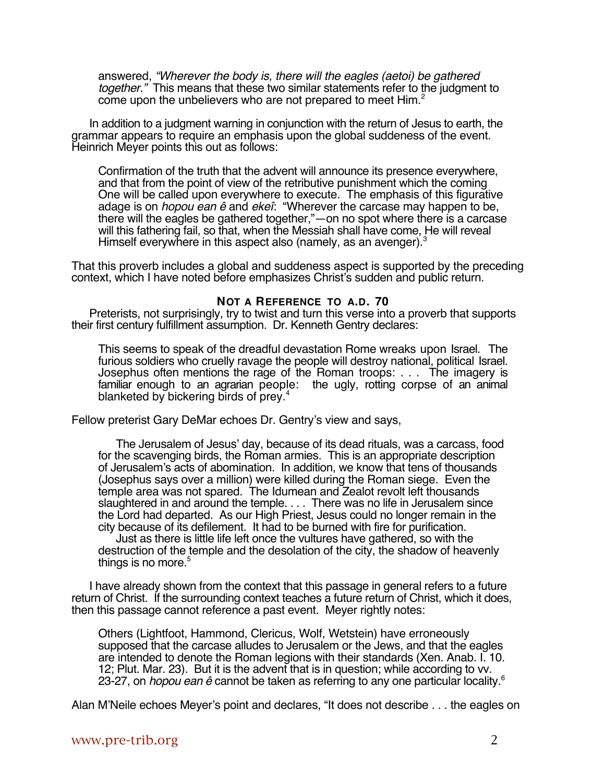answered, "Wherever the body is, there will the eagles (aetoi) be gathered together." This means that these two similar statements refer to the judgment to come upon the unbelievers who are not prepared to meet Him.<sup>2</sup>

In addition to a judgment warning in conjunction with the return of Jesus to earth, the grammar appears to require an emphasis upon the global suddeness of the event. Heinrich Meyer points this out as follows:

Confirmation of the truth that the advent will announce its presence everywhere, and that from the point of view of the retributive punishment which the coming One will be called upon everywhere to execute. The emphasis of this figurative adage is on *hopou ean ê* and ekeî: "Wherever the carcase may happen to be, there will the eagles be gathered together,"—on no spot where there is a carcase will this fathering fail, so that, when the Messiah shall have come, He will reveal Himself everywhere in this aspect also (namely, as an avenger).<sup>3</sup>

That this proverb includes a global and suddeness aspect is supported by the preceding context, which I have noted before emphasizes Christ's sudden and public return.

## **NOT A REFERENCE TO A.D. 70**

Preterists, not surprisingly, try to twist and turn this verse into a proverb that supports their first century fulfillment assumption. Dr. Kenneth Gentry declares:

This seems to speak of the dreadful devastation Rome wreaks upon Israel. The furious soldiers who cruelly ravage the people will destroy national, political Israel. Josephus often mentions the rage of the Roman troops: . . . The imagery is familiar enough to an agrarian people: the ugly, rotting corpse of an animal blanketed by bickering birds of prey.4

Fellow preterist Gary DeMar echoes Dr. Gentry's view and says,

The Jerusalem of Jesus' day, because of its dead rituals, was a carcass, food for the scavenging birds, the Roman armies. This is an appropriate description of Jerusalem's acts of abomination. In addition, we know that tens of thousands (Josephus says over a million) were killed during the Roman siege. Even the temple area was not spared. The Idumean and Zealot revolt left thousands slaughtered in and around the temple. . . . There was no life in Jerusalem since the Lord had departed. As our High Priest, Jesus could no longer remain in the city because of its defilement. It had to be burned with fire for purification.

Just as there is little life left once the vultures have gathered, so with the destruction of the temple and the desolation of the city, the shadow of heavenly things is no more. $5$ 

I have already shown from the context that this passage in general refers to a future return of Christ. If the surrounding context teaches a future return of Christ, which it does, then this passage cannot reference a past event. Meyer rightly notes:

Others (Lightfoot, Hammond, Clericus, Wolf, Wetstein) have erroneously supposed that the carcase alludes to Jerusalem or the Jews, and that the eagles are intended to denote the Roman legions with their standards (Xen. Anab. I. 10. 12; Plut. Mar. 23). But it is the advent that is in question; while according to vv. 23-27, on *hopou ean ê* cannot be taken as referring to any one particular locality.<sup>6</sup>

Alan M'Neile echoes Meyer's point and declares, "It does not describe . . . the eagles on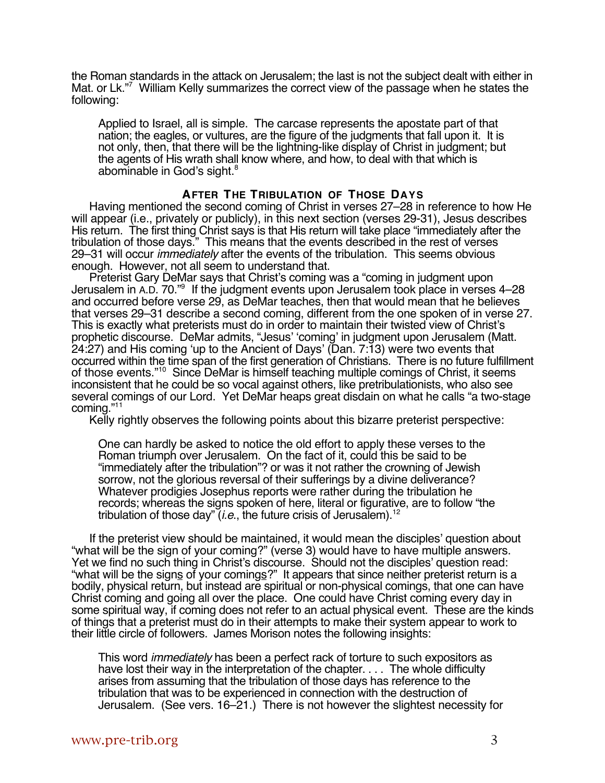the Roman standards in the attack on Jerusalem; the last is not the subject dealt with either in Mat. or Lk."7 William Kelly summarizes the correct view of the passage when he states the following:

Applied to Israel, all is simple. The carcase represents the apostate part of that nation; the eagles, or vultures, are the figure of the judgments that fall upon it. It is not only, then, that there will be the lightning-like display of Christ in judgment; but the agents of His wrath shall know where, and how, to deal with that which is abominable in God's sight.<sup>8</sup>

# **AFTER THE TRIBULATION OF THOSE DAYS**

Having mentioned the second coming of Christ in verses 27–28 in reference to how He will appear (i.e., privately or publicly), in this next section (verses 29-31), Jesus describes His return. The first thing Christ says is that His return will take place "immediately after the tribulation of those days." This means that the events described in the rest of verses 29–31 will occur *immediately* after the events of the tribulation. This seems obvious enough. However, not all seem to understand that.

Preterist Gary DeMar says that Christ's coming was a "coming in judgment upon Jerusalem in A.D. 70."9 If the judgment events upon Jerusalem took place in verses 4–28 and occurred before verse 29, as DeMar teaches, then that would mean that he believes that verses 29–31 describe a second coming, different from the one spoken of in verse 27. This is exactly what preterists must do in order to maintain their twisted view of Christ's prophetic discourse. DeMar admits, "Jesus' 'coming' in judgment upon Jerusalem (Matt. 24:27) and His coming 'up to the Ancient of Days' (Dan. 7:13) were two events that occurred within the time span of the first generation of Christians. There is no future fulfillment of those events."<sup>10</sup> Since DeMar is himself teaching multiple comings of Christ, it seems inconsistent that he could be so vocal against others, like pretribulationists, who also see several comings of our Lord. Yet DeMar heaps great disdain on what he calls "a two-stage coming."11

Kelly rightly observes the following points about this bizarre preterist perspective:

One can hardly be asked to notice the old effort to apply these verses to the Roman triumph over Jerusalem. On the fact of it, could this be said to be "immediately after the tribulation"? or was it not rather the crowning of Jewish sorrow, not the glorious reversal of their sufferings by a divine deliverance? Whatever prodigies Josephus reports were rather during the tribulation he records; whereas the signs spoken of here, literal or figurative, are to follow "the tribulation of those day"  $(i.e.,$  the future crisis of Jerusalem).<sup>12</sup>

If the preterist view should be maintained, it would mean the disciples' question about "what will be the sign of your coming?" (verse 3) would have to have multiple answers. Yet we find no such thing in Christ's discourse. Should not the disciples' question read: "what will be the signs of your comings?" It appears that since neither preterist return is a bodily, physical return, but instead are spiritual or non-physical comings, that one can have Christ coming and going all over the place. One could have Christ coming every day in some spiritual way, if coming does not refer to an actual physical event. These are the kinds of things that a preterist must do in their attempts to make their system appear to work to their little circle of followers. James Morison notes the following insights:

This word *immediately* has been a perfect rack of torture to such expositors as have lost their way in the interpretation of the chapter. . . . The whole difficulty arises from assuming that the tribulation of those days has reference to the tribulation that was to be experienced in connection with the destruction of Jerusalem. (See vers. 16–21.) There is not however the slightest necessity for